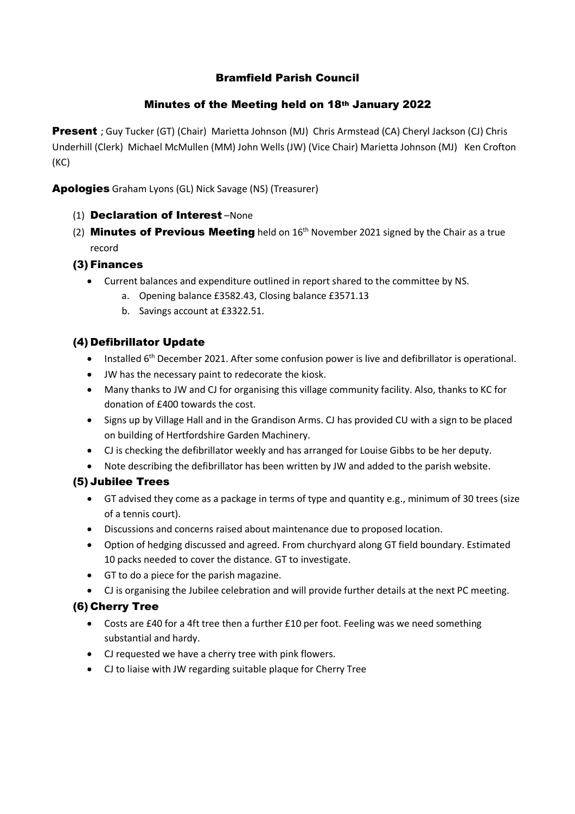# Bramfield Parish Council

### Minutes of the Meeting held on 18th January 2022

Present ; Guy Tucker (GT) (Chair) Marietta Johnson (MJ) Chris Armstead (CA) Cheryl Jackson (CJ) Chris Underhill (Clerk) Michael McMullen (MM) John Wells (JW) (Vice Chair) Marietta Johnson (MJ) Ken Crofton (KC)

Apologies Graham Lyons (GL) Nick Savage (NS) (Treasurer)

- (1) Declaration of Interest –None
- (2) **Minutes of Previous Meeting** held on  $16<sup>th</sup>$  November 2021 signed by the Chair as a true record

## (3) Finances

- Current balances and expenditure outlined in report shared to the committee by NS.
	- a. Opening balance £3582.43, Closing balance £3571.13
	- b. Savings account at £3322.51.

## (4) Defibrillator Update

- Installed 6<sup>th</sup> December 2021. After some confusion power is live and defibrillator is operational.
- JW has the necessary paint to redecorate the kiosk.
- Many thanks to JW and CJ for organising this village community facility. Also, thanks to KC for donation of £400 towards the cost.
- Signs up by Village Hall and in the Grandison Arms. CJ has provided CU with a sign to be placed on building of Hertfordshire Garden Machinery.
- CJ is checking the defibrillator weekly and has arranged for Louise Gibbs to be her deputy.
- Note describing the defibrillator has been written by JW and added to the parish website.

### (5) Jubilee Trees

- GT advised they come as a package in terms of type and quantity e.g., minimum of 30 trees (size of a tennis court).
- Discussions and concerns raised about maintenance due to proposed location.
- Option of hedging discussed and agreed. From churchyard along GT field boundary. Estimated 10 packs needed to cover the distance. GT to investigate.
- GT to do a piece for the parish magazine.
- CJ is organising the Jubilee celebration and will provide further details at the next PC meeting.

### (6) Cherry Tree

- Costs are £40 for a 4ft tree then a further £10 per foot. Feeling was we need something substantial and hardy.
- CJ requested we have a cherry tree with pink flowers.
- CJ to liaise with JW regarding suitable plaque for Cherry Tree